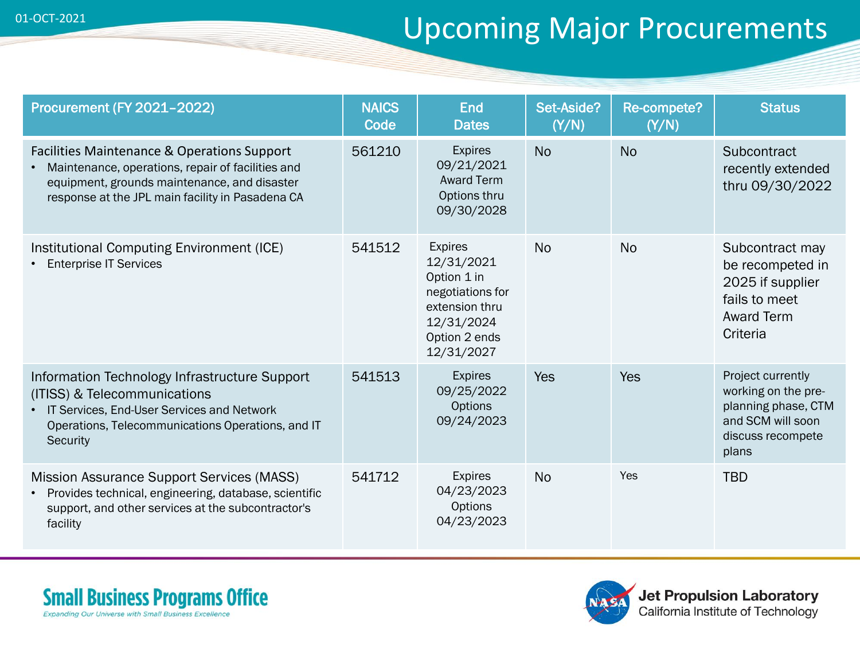## Upcoming Major Procurements

| <b>Procurement (FY 2021-2022)</b>                                                                                                                                                                    | <b>NAICS</b><br>Code | <b>End</b><br><b>Dates</b>                                                                                              | Set-Aside?<br>(Y/N) | Re-compete?<br>(Y/N) | <b>Status</b>                                                                                                      |
|------------------------------------------------------------------------------------------------------------------------------------------------------------------------------------------------------|----------------------|-------------------------------------------------------------------------------------------------------------------------|---------------------|----------------------|--------------------------------------------------------------------------------------------------------------------|
| Facilities Maintenance & Operations Support<br>Maintenance, operations, repair of facilities and<br>equipment, grounds maintenance, and disaster<br>response at the JPL main facility in Pasadena CA | 561210               | Expires<br>09/21/2021<br><b>Award Term</b><br>Options thru<br>09/30/2028                                                | <b>No</b>           | <b>No</b>            | Subcontract<br>recently extended<br>thru 09/30/2022                                                                |
| Institutional Computing Environment (ICE)<br><b>Enterprise IT Services</b>                                                                                                                           | 541512               | Expires<br>12/31/2021<br>Option 1 in<br>negotiations for<br>extension thru<br>12/31/2024<br>Option 2 ends<br>12/31/2027 | <b>No</b>           | <b>No</b>            | Subcontract may<br>be recompeted in<br>2025 if supplier<br>fails to meet<br><b>Award Term</b><br>Criteria          |
| Information Technology Infrastructure Support<br>(ITISS) & Telecommunications<br>IT Services, End-User Services and Network<br>Operations, Telecommunications Operations, and IT<br>Security         | 541513               | <b>Expires</b><br>09/25/2022<br>Options<br>09/24/2023                                                                   | Yes                 | <b>Yes</b>           | Project currently<br>working on the pre-<br>planning phase, CTM<br>and SCM will soon<br>discuss recompete<br>plans |
| Mission Assurance Support Services (MASS)<br>• Provides technical, engineering, database, scientific<br>support, and other services at the subcontractor's<br>facility                               | 541712               | Expires<br>04/23/2023<br>Options<br>04/23/2023                                                                          | <b>No</b>           | Yes                  | <b>TBD</b>                                                                                                         |